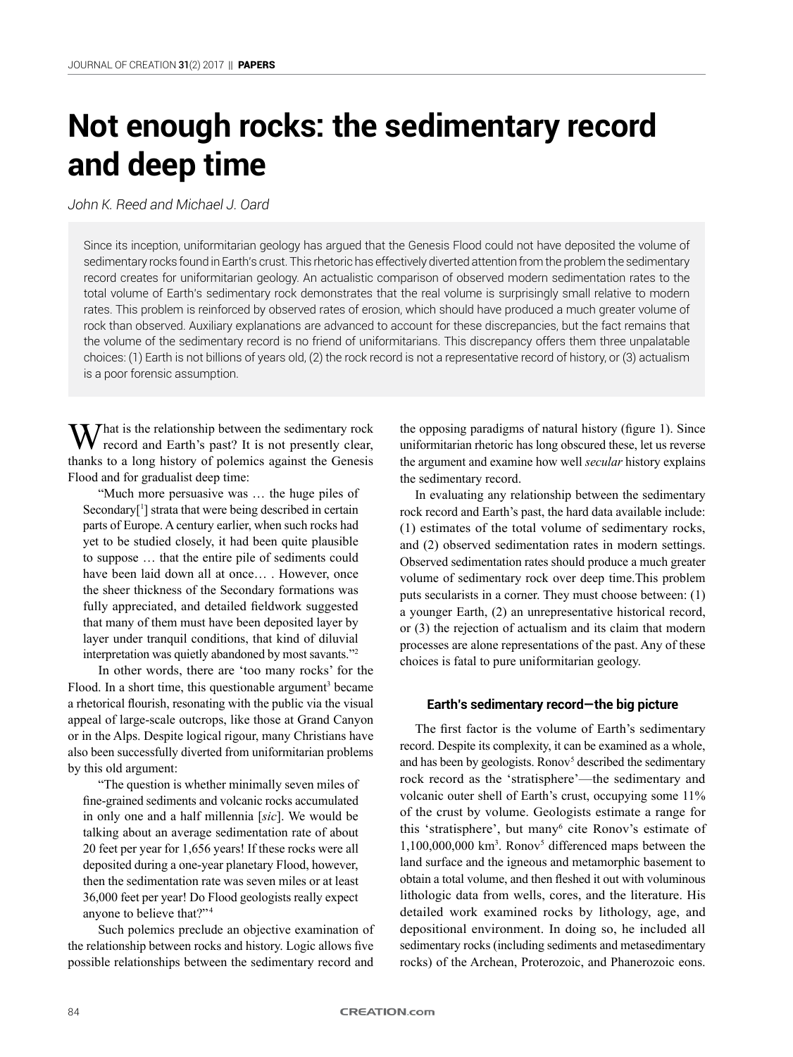# **Not enough rocks: the sedimentary record and deep time**

*John K. Reed and Michael J. Oard*

Since its inception, uniformitarian geology has argued that the Genesis Flood could not have deposited the volume of sedimentary rocks found in Earth's crust. This rhetoric has effectively diverted attention from the problem the sedimentary record creates for uniformitarian geology. An actualistic comparison of observed modern sedimentation rates to the total volume of Earth's sedimentary rock demonstrates that the real volume is surprisingly small relative to modern rates. This problem is reinforced by observed rates of erosion, which should have produced a much greater volume of rock than observed. Auxiliary explanations are advanced to account for these discrepancies, but the fact remains that the volume of the sedimentary record is no friend of uniformitarians. This discrepancy offers them three unpalatable choices: (1) Earth is not billions of years old, (2) the rock record is not a representative record of history, or (3) actualism is a poor forensic assumption.

 $M^{\text{hat}}$  is the relationship between the sedimentary rock record and Earth's past? It is not presently clear, thanks to a long history of polemics against the Genesis Flood and for gradualist deep time:

"Much more persuasive was … the huge piles of Secondary<sup>[1</sup>] strata that were being described in certain parts of Europe. A century earlier, when such rocks had yet to be studied closely, it had been quite plausible to suppose … that the entire pile of sediments could have been laid down all at once... . However, once the sheer thickness of the Secondary formations was fully appreciated, and detailed fieldwork suggested that many of them must have been deposited layer by layer under tranquil conditions, that kind of diluvial interpretation was quietly abandoned by most savants."2

In other words, there are 'too many rocks' for the Flood. In a short time, this questionable argument<sup>3</sup> became a rhetorical flourish, resonating with the public via the visual appeal of large-scale outcrops, like those at Grand Canyon or in the Alps. Despite logical rigour, many Christians have also been successfully diverted from uniformitarian problems by this old argument:

"The question is whether minimally seven miles of fine-grained sediments and volcanic rocks accumulated in only one and a half millennia [*sic*]. We would be talking about an average sedimentation rate of about 20 feet per year for 1,656 years! If these rocks were all deposited during a one-year planetary Flood, however, then the sedimentation rate was seven miles or at least 36,000 feet per year! Do Flood geologists really expect anyone to believe that?"<sup>4</sup>

Such polemics preclude an objective examination of the relationship between rocks and history. Logic allows five possible relationships between the sedimentary record and the opposing paradigms of natural history (figure 1). Since uniformitarian rhetoric has long obscured these, let us reverse the argument and examine how well *secular* history explains the sedimentary record.

In evaluating any relationship between the sedimentary rock record and Earth's past, the hard data available include: (1) estimates of the total volume of sedimentary rocks, and (2) observed sedimentation rates in modern settings. Observed sedimentation rates should produce a much greater volume of sedimentary rock over deep time.This problem puts secularists in a corner. They must choose between: (1) a younger Earth, (2) an unrepresentative historical record, or (3) the rejection of actualism and its claim that modern processes are alone representations of the past. Any of these choices is fatal to pure uniformitarian geology.

# **Earth's sedimentary record—the big picture**

The first factor is the volume of Earth's sedimentary record. Despite its complexity, it can be examined as a whole, and has been by geologists. Ronov<sup>5</sup> described the sedimentary rock record as the 'stratisphere'—the sedimentary and volcanic outer shell of Earth's crust, occupying some 11% of the crust by volume. Geologists estimate a range for this 'stratisphere', but many<sup>6</sup> cite Ronov's estimate of  $1,100,000,000$  km<sup>3</sup>. Ronov<sup>5</sup> differenced maps between the land surface and the igneous and metamorphic basement to obtain a total volume, and then fleshed it out with voluminous lithologic data from wells, cores, and the literature. His detailed work examined rocks by lithology, age, and depositional environment. In doing so, he included all sedimentary rocks (including sediments and metasedimentary rocks) of the Archean, Proterozoic, and Phanerozoic eons.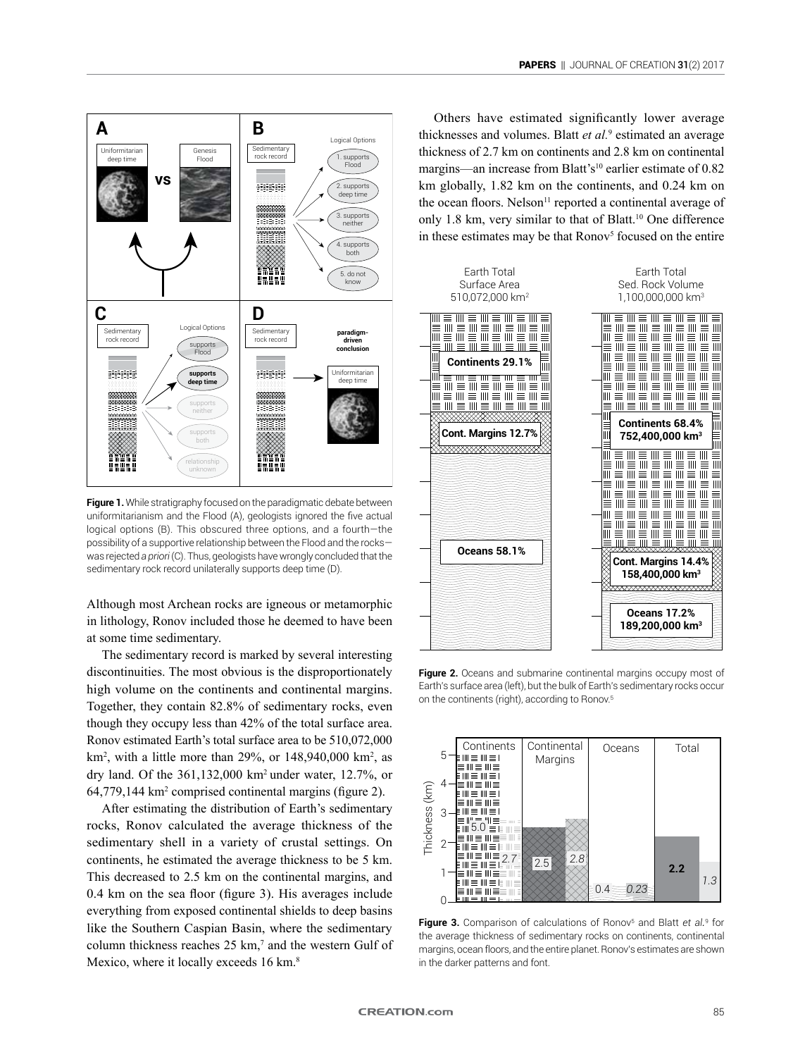

**Figure 1.** While stratigraphy focused on the paradigmatic debate between uniformitarianism and the Flood (A), geologists ignored the five actual logical options (B). This obscured three options, and a fourth—the possibility of a supportive relationship between the Flood and the rocks was rejected *a priori* (C). Thus, geologists have wrongly concluded that the sedimentary rock record unilaterally supports deep time (D).

Although most Archean rocks are igneous or metamorphic in lithology, Ronov included those he deemed to have been at some time sedimentary.

The sedimentary record is marked by several interesting discontinuities. The most obvious is the disproportionately high volume on the continents and continental margins. Together, they contain 82.8% of sedimentary rocks, even though they occupy less than 42% of the total surface area. Ronov estimated Earth's total surface area to be 510,072,000  $km^2$ , with a little more than 29%, or  $148,940,000$  km<sup>2</sup>, as dry land. Of the 361,132,000 km2 under water, 12.7%, or 64,779,144 km2 comprised continental margins (figure 2).

After estimating the distribution of Earth's sedimentary rocks, Ronov calculated the average thickness of the sedimentary shell in a variety of crustal settings. On continents, he estimated the average thickness to be 5 km. This decreased to 2.5 km on the continental margins, and 0.4 km on the sea floor (figure 3). His averages include everything from exposed continental shields to deep basins like the Southern Caspian Basin, where the sedimentary column thickness reaches  $25 \text{ km}$ ,<sup>7</sup> and the western Gulf of Mexico, where it locally exceeds 16 km.<sup>8</sup>

Others have estimated significantly lower average thicknesses and volumes. Blatt *et al.*<sup>9</sup> estimated an average thickness of 2.7 km on continents and 2.8 km on continental margins—an increase from Blatt's<sup>10</sup> earlier estimate of 0.82 km globally, 1.82 km on the continents, and 0.24 km on the ocean floors. Nelson $11$  reported a continental average of only 1.8 km, very similar to that of Blatt.10 One difference in these estimates may be that Ronov<sup>5</sup> focused on the entire



**Figure 2.** Oceans and submarine continental margins occupy most of Earth's surface area (left), but the bulk of Earth's sedimentary rocks occur on the continents (right), according to Ronov.5



**Figure 3.** Comparison of calculations of Ronov<sup>5</sup> and Blatt *et al.*<sup>9</sup> for the average thickness of sedimentary rocks on continents, continental margins, ocean floors, and the entire planet. Ronov's estimates are shown in the darker patterns and font.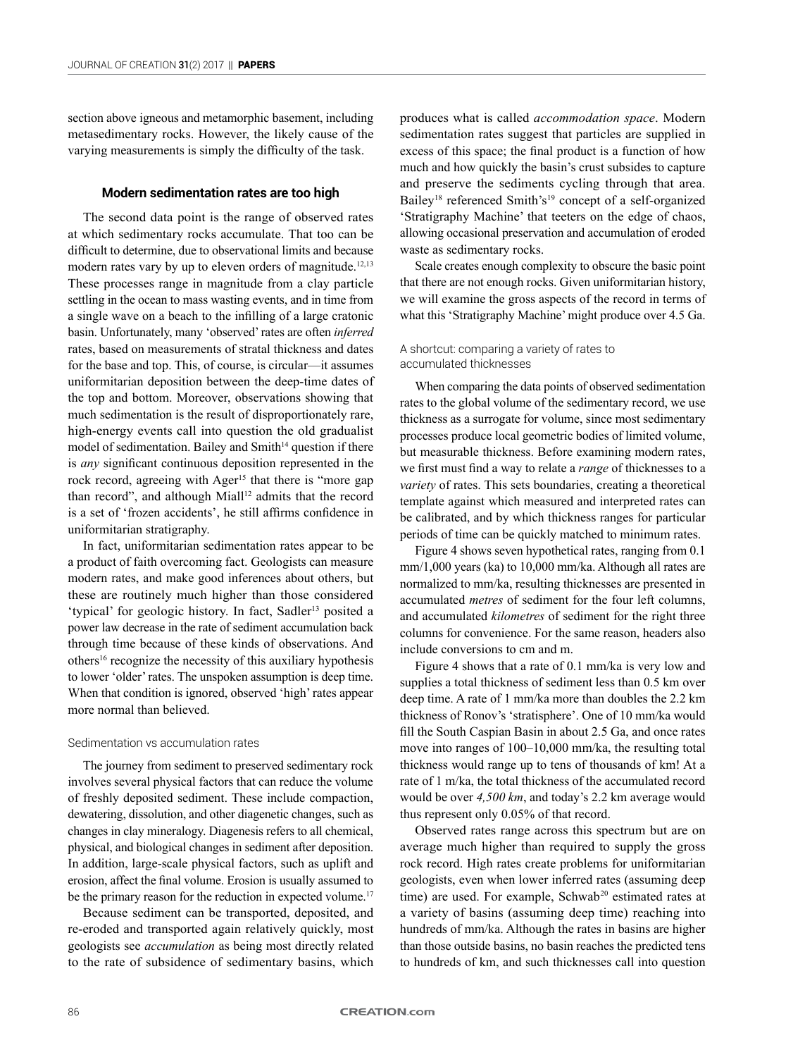section above igneous and metamorphic basement, including metasedimentary rocks. However, the likely cause of the varying measurements is simply the difficulty of the task.

# **Modern sedimentation rates are too high**

The second data point is the range of observed rates at which sedimentary rocks accumulate. That too can be difficult to determine, due to observational limits and because modern rates vary by up to eleven orders of magnitude.<sup>12,13</sup> These processes range in magnitude from a clay particle settling in the ocean to mass wasting events, and in time from a single wave on a beach to the infilling of a large cratonic basin. Unfortunately, many 'observed' rates are often *inferred* rates, based on measurements of stratal thickness and dates for the base and top. This, of course, is circular—it assumes uniformitarian deposition between the deep-time dates of the top and bottom. Moreover, observations showing that much sedimentation is the result of disproportionately rare, high-energy events call into question the old gradualist model of sedimentation. Bailey and Smith<sup>14</sup> question if there is *any* significant continuous deposition represented in the rock record, agreeing with Ager<sup>15</sup> that there is "more gap than record", and although Miall<sup>12</sup> admits that the record is a set of 'frozen accidents', he still affirms confidence in uniformitarian stratigraphy.

In fact, uniformitarian sedimentation rates appear to be a product of faith overcoming fact. Geologists can measure modern rates, and make good inferences about others, but these are routinely much higher than those considered 'typical' for geologic history. In fact, Sadler<sup>13</sup> posited a power law decrease in the rate of sediment accumulation back through time because of these kinds of observations. And others16 recognize the necessity of this auxiliary hypothesis to lower 'older' rates. The unspoken assumption is deep time. When that condition is ignored, observed 'high' rates appear more normal than believed.

#### Sedimentation vs accumulation rates

The journey from sediment to preserved sedimentary rock involves several physical factors that can reduce the volume of freshly deposited sediment. These include compaction, dewatering, dissolution, and other diagenetic changes, such as changes in clay mineralogy. Diagenesis refers to all chemical, physical, and biological changes in sediment after deposition. In addition, large-scale physical factors, such as uplift and erosion, affect the final volume. Erosion is usually assumed to be the primary reason for the reduction in expected volume.<sup>17</sup>

Because sediment can be transported, deposited, and re-eroded and transported again relatively quickly, most geologists see *accumulation* as being most directly related to the rate of subsidence of sedimentary basins, which

produces what is called *accommodation space*. Modern sedimentation rates suggest that particles are supplied in excess of this space; the final product is a function of how much and how quickly the basin's crust subsides to capture and preserve the sediments cycling through that area. Bailey<sup>18</sup> referenced Smith's<sup>19</sup> concept of a self-organized 'Stratigraphy Machine' that teeters on the edge of chaos, allowing occasional preservation and accumulation of eroded waste as sedimentary rocks.

Scale creates enough complexity to obscure the basic point that there are not enough rocks. Given uniformitarian history, we will examine the gross aspects of the record in terms of what this 'Stratigraphy Machine' might produce over 4.5 Ga.

# A shortcut: comparing a variety of rates to accumulated thicknesses

When comparing the data points of observed sedimentation rates to the global volume of the sedimentary record, we use thickness as a surrogate for volume, since most sedimentary processes produce local geometric bodies of limited volume, but measurable thickness. Before examining modern rates, we first must find a way to relate a *range* of thicknesses to a *variety* of rates. This sets boundaries, creating a theoretical template against which measured and interpreted rates can be calibrated, and by which thickness ranges for particular periods of time can be quickly matched to minimum rates.

Figure 4 shows seven hypothetical rates, ranging from 0.1 mm/1,000 years (ka) to 10,000 mm/ka. Although all rates are normalized to mm/ka, resulting thicknesses are presented in accumulated *metres* of sediment for the four left columns, and accumulated *kilometres* of sediment for the right three columns for convenience. For the same reason, headers also include conversions to cm and m.

Figure 4 shows that a rate of 0.1 mm/ka is very low and supplies a total thickness of sediment less than 0.5 km over deep time. A rate of 1 mm/ka more than doubles the 2.2 km thickness of Ronov's 'stratisphere'. One of 10 mm/ka would fill the South Caspian Basin in about 2.5 Ga, and once rates move into ranges of 100–10,000 mm/ka, the resulting total thickness would range up to tens of thousands of km! At a rate of 1 m/ka, the total thickness of the accumulated record would be over *4,500 km*, and today's 2.2 km average would thus represent only 0.05% of that record.

Observed rates range across this spectrum but are on average much higher than required to supply the gross rock record. High rates create problems for uniformitarian geologists, even when lower inferred rates (assuming deep time) are used. For example, Schwab<sup>20</sup> estimated rates at a variety of basins (assuming deep time) reaching into hundreds of mm/ka. Although the rates in basins are higher than those outside basins, no basin reaches the predicted tens to hundreds of km, and such thicknesses call into question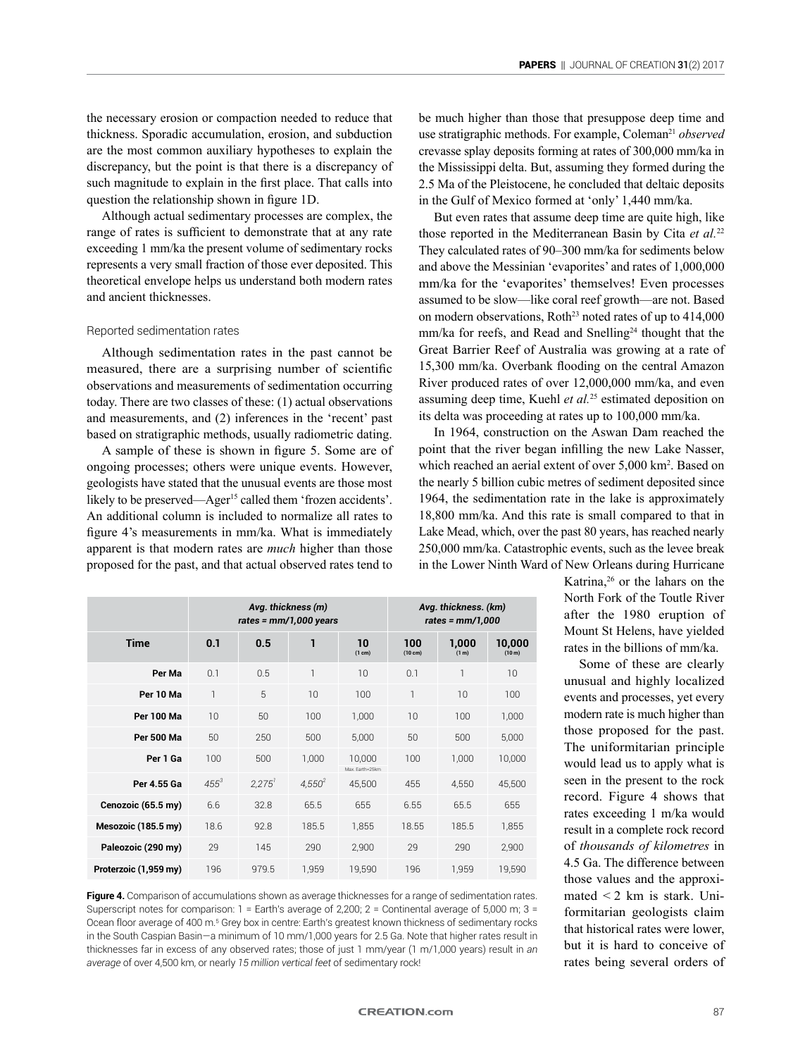the necessary erosion or compaction needed to reduce that thickness. Sporadic accumulation, erosion, and subduction are the most common auxiliary hypotheses to explain the discrepancy, but the point is that there is a discrepancy of such magnitude to explain in the first place. That calls into question the relationship shown in figure 1D.

Although actual sedimentary processes are complex, the range of rates is sufficient to demonstrate that at any rate exceeding 1 mm/ka the present volume of sedimentary rocks represents a very small fraction of those ever deposited. This theoretical envelope helps us understand both modern rates and ancient thicknesses.

### Reported sedimentation rates

Although sedimentation rates in the past cannot be measured, there are a surprising number of scientific observations and measurements of sedimentation occurring today. There are two classes of these: (1) actual observations and measurements, and (2) inferences in the 'recent' past based on stratigraphic methods, usually radiometric dating.

A sample of these is shown in figure 5. Some are of ongoing processes; others were unique events. However, geologists have stated that the unusual events are those most likely to be preserved—Ager<sup>15</sup> called them 'frozen accidents'. An additional column is included to normalize all rates to figure 4's measurements in mm/ka. What is immediately apparent is that modern rates are *much* higher than those proposed for the past, and that actual observed rates tend to be much higher than those that presuppose deep time and use stratigraphic methods. For example, Coleman<sup>21</sup> *observed* crevasse splay deposits forming at rates of 300,000 mm/ka in the Mississippi delta. But, assuming they formed during the 2.5 Ma of the Pleistocene, he concluded that deltaic deposits in the Gulf of Mexico formed at 'only' 1,440 mm/ka.

But even rates that assume deep time are quite high, like those reported in the Mediterranean Basin by Cita *et al.*<sup>22</sup> They calculated rates of 90–300 mm/ka for sediments below and above the Messinian 'evaporites' and rates of 1,000,000 mm/ka for the 'evaporites' themselves! Even processes assumed to be slow—like coral reef growth—are not. Based on modern observations. Roth<sup>23</sup> noted rates of up to  $414,000$ mm/ka for reefs, and Read and Snelling<sup>24</sup> thought that the Great Barrier Reef of Australia was growing at a rate of 15,300 mm/ka. Overbank flooding on the central Amazon River produced rates of over 12,000,000 mm/ka, and even assuming deep time, Kuehl *et al.*25 estimated deposition on its delta was proceeding at rates up to 100,000 mm/ka.

In 1964, construction on the Aswan Dam reached the point that the river began infilling the new Lake Nasser, which reached an aerial extent of over 5,000 km<sup>2</sup>. Based on the nearly 5 billion cubic metres of sediment deposited since 1964, the sedimentation rate in the lake is approximately 18,800 mm/ka. And this rate is small compared to that in Lake Mead, which, over the past 80 years, has reached nearly 250,000 mm/ka. Catastrophic events, such as the levee break in the Lower Ninth Ward of New Orleans during Hurricane

|                       | Avg. thickness (m)<br>rates = $mm/1,000$ years |        |              |                           | Avg. thickness. (km)<br>rates = $mm/1,000$ |                            |                              |  |
|-----------------------|------------------------------------------------|--------|--------------|---------------------------|--------------------------------------------|----------------------------|------------------------------|--|
| <b>Time</b>           | 0.1                                            | 0.5    | 1            | 10<br>(1 cm)              | 100<br>$(10 \text{ cm})$                   | 1,000<br>(1 <sub>m</sub> ) | 10,000<br>(10 <sub>m</sub> ) |  |
| Per Ma                | 0.1                                            | 0.5    | $\mathbf{1}$ | 10                        | 0.1                                        | 1                          | 10                           |  |
| Per 10 Ma             | 1                                              | 5      | 10           | 100                       | 1                                          | 10                         | 100                          |  |
| <b>Per 100 Ma</b>     | 10                                             | 50     | 100          | 1,000                     | 10                                         | 100                        | 1,000                        |  |
| <b>Per 500 Ma</b>     | 50                                             | 250    | 500          | 5,000                     | 50                                         | 500                        | 5,000                        |  |
| Per 1 Ga              | 100                                            | 500    | 1,000        | 10,000<br>Max. Earth=25km | 100                                        | 1,000                      | 10,000                       |  |
| Per 4.55 Ga           | $455^3$                                        | 2.275' | $4,550^{2}$  | 45,500                    | 455                                        | 4,550                      | 45,500                       |  |
| Cenozoic (65.5 my)    | 6.6                                            | 32.8   | 65.5         | 655                       | 6.55                                       | 65.5                       | 655                          |  |
| Mesozoic (185.5 my)   | 18.6                                           | 92.8   | 185.5        | 1.855                     | 18.55                                      | 185.5                      | 1,855                        |  |
| Paleozoic (290 my)    | 29                                             | 145    | 290          | 2,900                     | 29                                         | 290                        | 2,900                        |  |
| Proterzoic (1,959 my) | 196                                            | 979.5  | 1,959        | 19,590                    | 196                                        | 1,959                      | 19,590                       |  |

**Figure 4.** Comparison of accumulations shown as average thicknesses for a range of sedimentation rates. Superscript notes for comparison: 1 = Earth's average of 2,200; 2 = Continental average of 5,000 m; 3 = Ocean floor average of 400 m.<sup>5</sup> Grey box in centre: Earth's greatest known thickness of sedimentary rocks in the South Caspian Basin—a minimum of 10 mm/1,000 years for 2.5 Ga. Note that higher rates result in thicknesses far in excess of any observed rates; those of just 1 mm/year (1 m/1,000 years) result in *an average* of over 4,500 km, or nearly *15 million vertical feet* of sedimentary rock!

Katrina.<sup>26</sup> or the lahars on the North Fork of the Toutle River after the 1980 eruption of Mount St Helens, have yielded rates in the billions of mm/ka.

Some of these are clearly unusual and highly localized events and processes, yet every modern rate is much higher than those proposed for the past. The uniformitarian principle would lead us to apply what is seen in the present to the rock record. Figure 4 shows that rates exceeding 1 m/ka would result in a complete rock record of *thousands of kilometres* in 4.5 Ga. The difference between those values and the approximated  $\leq 2$  km is stark. Uniformitarian geologists claim that historical rates were lower, but it is hard to conceive of rates being several orders of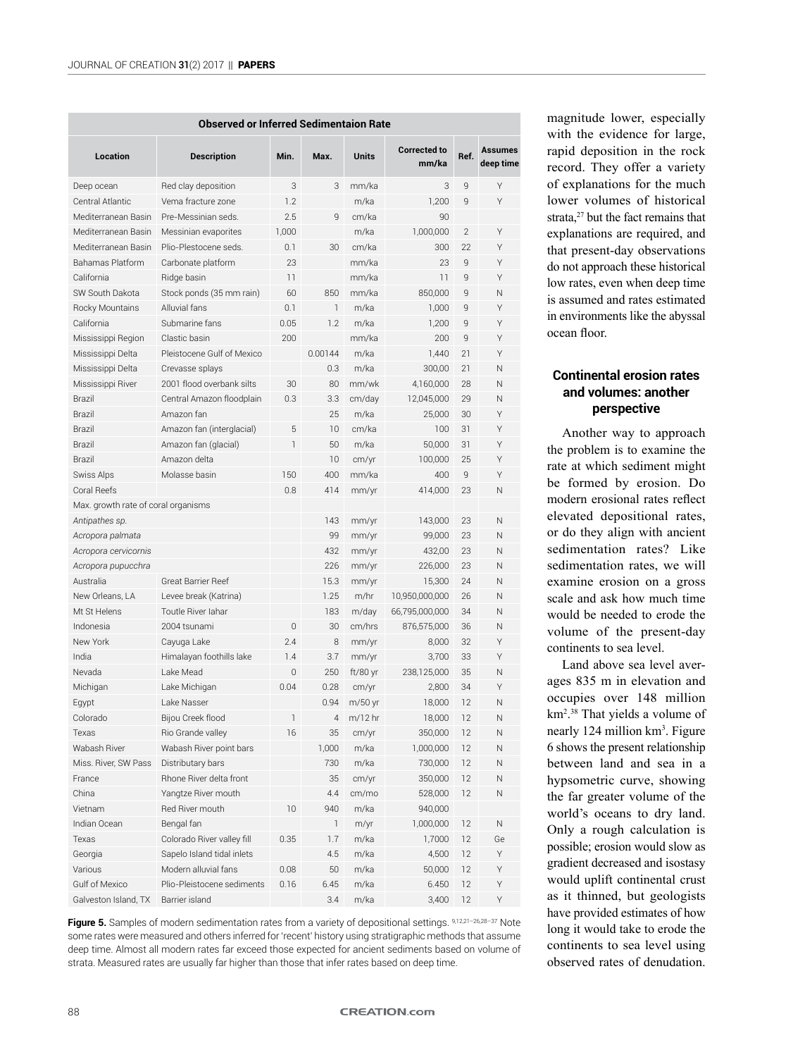|                                     | <b>Observed or Inferred Sedimentaion Rate</b> |                |              |              | <b>Corrected to</b><br>Ref.<br>mm/ka<br>3<br>9<br>1,200<br>9<br>90<br>$\overline{2}$<br>1,000,000<br>22<br>300<br>23<br>9<br>11<br>9<br>850,000<br>9<br>1,000<br>9<br>1,200<br>9<br>200<br>9<br>21<br>1,440<br>21<br>300,00<br>4,160,000<br>28<br>12,045,000<br>29<br>25.000<br>30<br>100<br>31<br>50,000<br>31<br>100,000<br>25<br>9<br>400<br>414,000<br>23<br>143,000<br>23 |    |                             |  |  |
|-------------------------------------|-----------------------------------------------|----------------|--------------|--------------|--------------------------------------------------------------------------------------------------------------------------------------------------------------------------------------------------------------------------------------------------------------------------------------------------------------------------------------------------------------------------------|----|-----------------------------|--|--|
| Location                            | <b>Description</b>                            | Min.           | Max.         | <b>Units</b> |                                                                                                                                                                                                                                                                                                                                                                                |    | <b>Assumes</b><br>deep time |  |  |
| Deep ocean                          | Red clay deposition                           | 3              | 3            | mm/ka        |                                                                                                                                                                                                                                                                                                                                                                                |    | Υ                           |  |  |
| Central Atlantic                    | Vema fracture zone                            | 1.2            |              | m/ka         |                                                                                                                                                                                                                                                                                                                                                                                |    | Υ                           |  |  |
| Mediterranean Basin                 | Pre-Messinian seds.                           | 2.5            | 9            | cm/ka        |                                                                                                                                                                                                                                                                                                                                                                                |    |                             |  |  |
| Mediterranean Basin                 | Messinian evaporites                          | 1,000          |              | m/ka         |                                                                                                                                                                                                                                                                                                                                                                                |    | Υ                           |  |  |
| Mediterranean Basin                 | Plio-Plestocene seds.                         | 0.1            | 30           | cm/ka        |                                                                                                                                                                                                                                                                                                                                                                                |    | Υ                           |  |  |
| Bahamas Platform                    | Carbonate platform                            | 23             |              | mm/ka        |                                                                                                                                                                                                                                                                                                                                                                                |    | Υ                           |  |  |
| California                          | Ridge basin                                   | 11             |              | mm/ka        |                                                                                                                                                                                                                                                                                                                                                                                |    | Υ                           |  |  |
| SW South Dakota                     | Stock ponds (35 mm rain)                      | 60             | 850          | mm/ka        |                                                                                                                                                                                                                                                                                                                                                                                |    | N                           |  |  |
| Rocky Mountains                     | Alluvial fans                                 | 0.1            | $\mathbf{1}$ | m/ka         |                                                                                                                                                                                                                                                                                                                                                                                |    | Υ                           |  |  |
| California                          | Submarine fans                                | 0.05           | 1.2          | m/ka         |                                                                                                                                                                                                                                                                                                                                                                                |    | Υ                           |  |  |
| Mississippi Region                  | Clastic basin                                 | 200            |              | mm/ka        |                                                                                                                                                                                                                                                                                                                                                                                |    | Υ                           |  |  |
| Mississippi Delta                   | Pleistocene Gulf of Mexico                    |                | 0.00144      | m/ka         |                                                                                                                                                                                                                                                                                                                                                                                |    | Υ                           |  |  |
| Mississippi Delta                   | Crevasse splays                               |                | 0.3          | m/ka         |                                                                                                                                                                                                                                                                                                                                                                                |    | N                           |  |  |
| Mississippi River                   | 2001 flood overbank silts                     | 30             | 80           | mm/wk        |                                                                                                                                                                                                                                                                                                                                                                                |    | N                           |  |  |
| Brazil                              | Central Amazon floodplain                     | 0.3            | 3.3          | cm/day       |                                                                                                                                                                                                                                                                                                                                                                                |    | N                           |  |  |
| Brazil                              | Amazon fan                                    |                | 25           | m/ka         |                                                                                                                                                                                                                                                                                                                                                                                |    | Υ                           |  |  |
| Brazil                              | Amazon fan (interglacial)                     | 5              | 10           | cm/ka        |                                                                                                                                                                                                                                                                                                                                                                                |    | Υ                           |  |  |
| Brazil                              | Amazon fan (glacial)                          | $\mathbf{1}$   | 50           | m/ka         |                                                                                                                                                                                                                                                                                                                                                                                |    | Υ                           |  |  |
| Brazil                              | Amazon delta                                  |                | 10           | cm/yr        |                                                                                                                                                                                                                                                                                                                                                                                |    | Υ                           |  |  |
| Swiss Alps                          | Molasse basin                                 | 150            | 400          | mm/ka        |                                                                                                                                                                                                                                                                                                                                                                                |    | Υ                           |  |  |
| Coral Reefs                         |                                               | 0.8            | 414          | mm/yr        |                                                                                                                                                                                                                                                                                                                                                                                |    | N                           |  |  |
| Max. growth rate of coral organisms |                                               |                |              |              |                                                                                                                                                                                                                                                                                                                                                                                |    |                             |  |  |
| Antipathes sp.                      |                                               |                | 143          | mm/yr        |                                                                                                                                                                                                                                                                                                                                                                                |    | N                           |  |  |
| Acropora palmata                    |                                               |                | 99           | mm/yr        | 99,000                                                                                                                                                                                                                                                                                                                                                                         | 23 | N                           |  |  |
| Acropora cervicornis                |                                               |                | 432          | mm/yr        | 432,00                                                                                                                                                                                                                                                                                                                                                                         | 23 | N                           |  |  |
| Acropora pupucchra                  |                                               |                | 226          | mm/yr        | 226,000                                                                                                                                                                                                                                                                                                                                                                        | 23 | N                           |  |  |
| Australia                           | <b>Great Barrier Reef</b>                     |                | 15.3         | mm/yr        | 15,300                                                                                                                                                                                                                                                                                                                                                                         | 24 | N                           |  |  |
| New Orleans, LA                     | Levee break (Katrina)                         |                | 1.25         | m/hr         | 10,950,000,000                                                                                                                                                                                                                                                                                                                                                                 | 26 | N                           |  |  |
| Mt St Helens                        | Toutle River Jahar                            |                | 183          | m/day        | 66,795,000,000                                                                                                                                                                                                                                                                                                                                                                 | 34 | N                           |  |  |
| Indonesia                           | 2004 tsunami                                  | $\overline{0}$ | 30           | cm/hrs       | 876,575,000                                                                                                                                                                                                                                                                                                                                                                    | 36 | N                           |  |  |
| New York                            | Cayuga Lake                                   | 2.4            | 8            | mm/yr        | 8,000                                                                                                                                                                                                                                                                                                                                                                          | 32 | Υ                           |  |  |
| India                               | Himalayan foothills lake                      | 1.4            | 3.7          | mm/yr        | 3,700                                                                                                                                                                                                                                                                                                                                                                          | 33 | Υ                           |  |  |
| Nevada                              | Lake Mead                                     | 0              | 250          | $ft/80$ yr   | 238,125,000                                                                                                                                                                                                                                                                                                                                                                    | 35 | N                           |  |  |
| Michigan                            | Lake Michigan                                 | 0.04           | 0.28         | cm/yr        | 2,800                                                                                                                                                                                                                                                                                                                                                                          | 34 | Υ                           |  |  |
| Egypt                               | Lake Nasser                                   |                | 0.94         | m/50 yr      | 18,000                                                                                                                                                                                                                                                                                                                                                                         | 12 | N                           |  |  |
| Colorado                            | Bijou Creek flood                             | $\mathbb{I}$   | 4            | m/12 hr      | 18,000                                                                                                                                                                                                                                                                                                                                                                         | 12 | Ν                           |  |  |
| Texas                               | Rio Grande valley                             | 16             | 35           | cm/yr        | 350,000                                                                                                                                                                                                                                                                                                                                                                        | 12 | Ν                           |  |  |
| Wabash River                        | Wabash River point bars                       |                | 1,000        | m/ka         | 1,000,000                                                                                                                                                                                                                                                                                                                                                                      | 12 | Ν                           |  |  |
| Miss. River, SW Pass                | Distributary bars                             |                | 730          | m/ka         | 730,000                                                                                                                                                                                                                                                                                                                                                                        | 12 | Ν                           |  |  |
| France                              | Rhone River delta front                       |                | 35           | cm/yr        | 350,000                                                                                                                                                                                                                                                                                                                                                                        | 12 | Ν                           |  |  |
| China                               | Yangtze River mouth                           |                | 4.4          | cm/mo        | 528,000                                                                                                                                                                                                                                                                                                                                                                        | 12 | Ν                           |  |  |
| Vietnam                             | Red River mouth                               | 10             | 940          | m/ka         | 940,000                                                                                                                                                                                                                                                                                                                                                                        |    |                             |  |  |
| Indian Ocean                        | Bengal fan                                    |                | $\mathbb{1}$ | m/yr         | 1,000,000                                                                                                                                                                                                                                                                                                                                                                      | 12 | N                           |  |  |
| Texas                               | Colorado River valley fill                    | 0.35           | 1.7          | m/ka         | 1,7000                                                                                                                                                                                                                                                                                                                                                                         | 12 | Ge                          |  |  |
| Georgia                             | Sapelo Island tidal inlets                    |                | 4.5          | m/ka         | 4,500                                                                                                                                                                                                                                                                                                                                                                          | 12 | Υ                           |  |  |
| Various                             | Modern alluvial fans                          | 0.08           | 50           | m/ka         | 50,000                                                                                                                                                                                                                                                                                                                                                                         | 12 | Υ                           |  |  |
| Gulf of Mexico                      | Plio-Pleistocene sediments                    | 0.16           | 6.45         | m/ka         | 6.450                                                                                                                                                                                                                                                                                                                                                                          | 12 | Υ                           |  |  |
| Galveston Island, TX                | Barrier island                                |                | 3.4          | m/ka         | 3,400                                                                                                                                                                                                                                                                                                                                                                          | 12 | Υ                           |  |  |

Figure 5. Samples of modern sedimentation rates from a variety of depositional settings. 9,12,21-26,28-37 Note some rates were measured and others inferred for 'recent' history using stratigraphic methods that assume deep time. Almost all modern rates far exceed those expected for ancient sediments based on volume of strata. Measured rates are usually far higher than those that infer rates based on deep time.

magnitude lower, especially with the evidence for large, rapid deposition in the rock record. They offer a variety of explanations for the much lower volumes of historical strata,<sup>27</sup> but the fact remains that explanations are required, and that present-day observations do not approach these historical low rates, even when deep time is assumed and rates estimated in environments like the abyssal ocean floor.

# **Continental erosion rates and volumes: another perspective**

Another way to approach the problem is to examine the rate at which sediment might be formed by erosion. Do modern erosional rates reflect elevated depositional rates, or do they align with ancient sedimentation rates? Like sedimentation rates, we will examine erosion on a gross scale and ask how much time would be needed to erode the volume of the present-day continents to sea level.

Land above sea level averages 835 m in elevation and occupies over 148 million km2 . 38 That yields a volume of nearly 124 million km<sup>3</sup>. Figure 6 shows the present relationship between land and sea in a hypsometric curve, showing the far greater volume of the world's oceans to dry land. Only a rough calculation is possible; erosion would slow as gradient decreased and isostasy would uplift continental crust as it thinned, but geologists have provided estimates of how long it would take to erode the continents to sea level using observed rates of denudation.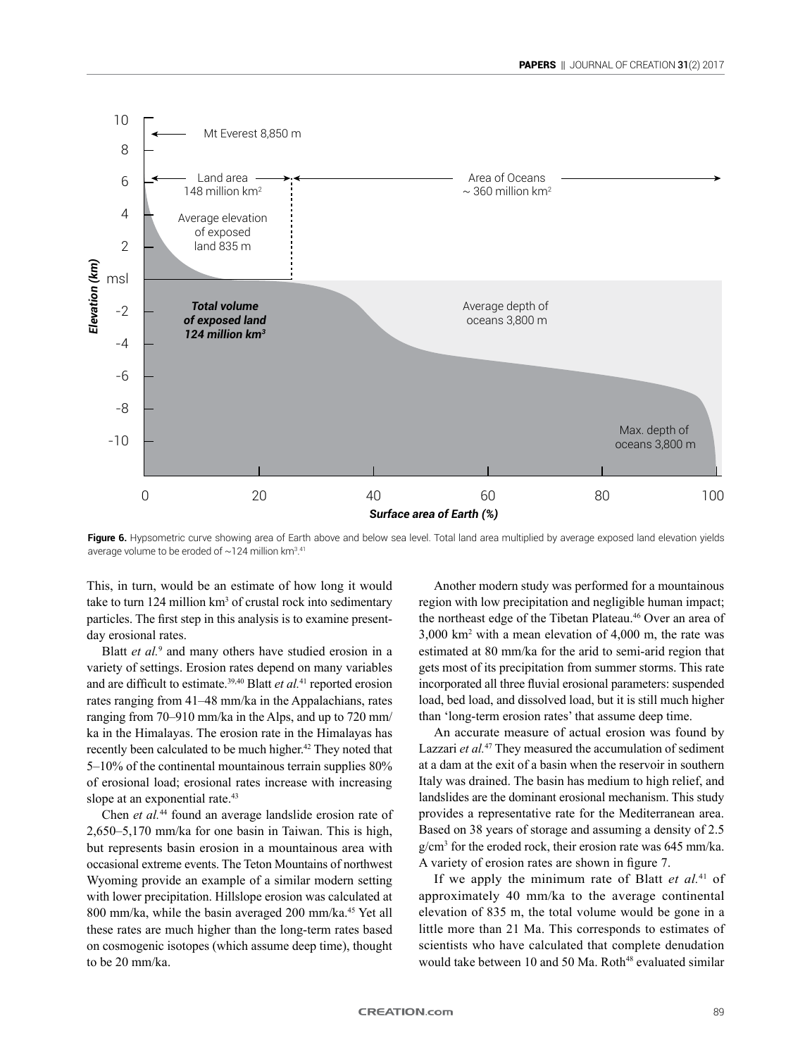

Figure 6. Hypsometric curve showing area of Earth above and below sea level. Total land area multiplied by average exposed land elevation yields average volume to be eroded of  $\sim$ 124 million km<sup>3.41</sup>

This, in turn, would be an estimate of how long it would take to turn  $124$  million  $km^3$  of crustal rock into sedimentary particles. The first step in this analysis is to examine presentday erosional rates.

Blatt *et al.*<sup>9</sup> and many others have studied erosion in a variety of settings. Erosion rates depend on many variables and are difficult to estimate.39,40 Blatt *et al.*41 reported erosion rates ranging from 41–48 mm/ka in the Appalachians, rates ranging from 70–910 mm/ka in the Alps, and up to 720 mm/ ka in the Himalayas. The erosion rate in the Himalayas has recently been calculated to be much higher.<sup>42</sup> They noted that 5–10% of the continental mountainous terrain supplies 80% of erosional load; erosional rates increase with increasing slope at an exponential rate.<sup>43</sup>

Chen *et al.*44 found an average landslide erosion rate of 2,650–5,170 mm/ka for one basin in Taiwan. This is high, but represents basin erosion in a mountainous area with occasional extreme events. The Teton Mountains of northwest Wyoming provide an example of a similar modern setting with lower precipitation. Hillslope erosion was calculated at 800 mm/ka, while the basin averaged 200 mm/ka.45 Yet all these rates are much higher than the long-term rates based on cosmogenic isotopes (which assume deep time), thought to be 20 mm/ka.

Another modern study was performed for a mountainous region with low precipitation and negligible human impact; the northeast edge of the Tibetan Plateau.<sup>46</sup> Over an area of 3,000 km2 with a mean elevation of 4,000 m, the rate was estimated at 80 mm/ka for the arid to semi-arid region that gets most of its precipitation from summer storms. This rate incorporated all three fluvial erosional parameters: suspended load, bed load, and dissolved load, but it is still much higher than 'long-term erosion rates' that assume deep time.

An accurate measure of actual erosion was found by Lazzari *et al.*47 They measured the accumulation of sediment at a dam at the exit of a basin when the reservoir in southern Italy was drained. The basin has medium to high relief, and landslides are the dominant erosional mechanism. This study provides a representative rate for the Mediterranean area. Based on 38 years of storage and assuming a density of 2.5 g/cm3 for the eroded rock, their erosion rate was 645 mm/ka. A variety of erosion rates are shown in figure 7.

If we apply the minimum rate of Blatt *et al.*41 of approximately 40 mm/ka to the average continental elevation of 835 m, the total volume would be gone in a little more than 21 Ma. This corresponds to estimates of scientists who have calculated that complete denudation would take between 10 and 50 Ma. Roth<sup>48</sup> evaluated similar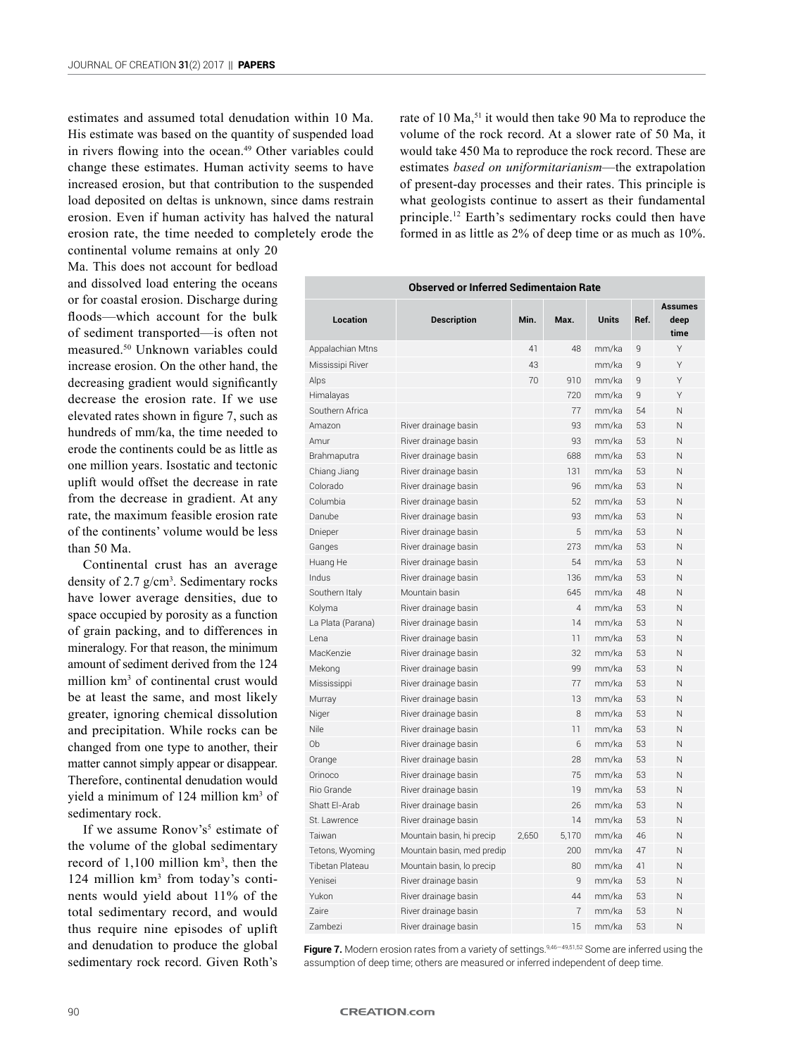estimates and assumed total denudation within 10 Ma. His estimate was based on the quantity of suspended load in rivers flowing into the ocean.<sup>49</sup> Other variables could change these estimates. Human activity seems to have increased erosion, but that contribution to the suspended load deposited on deltas is unknown, since dams restrain erosion. Even if human activity has halved the natural erosion rate, the time needed to completely erode the

continental volume remains at only 20 Ma. This does not account for bedload and dissolved load entering the oceans or for coastal erosion. Discharge during floods—which account for the bulk of sediment transported—is often not measured.50 Unknown variables could increase erosion. On the other hand, the decreasing gradient would significantly decrease the erosion rate. If we use elevated rates shown in figure 7, such as hundreds of mm/ka, the time needed to erode the continents could be as little as one million years. Isostatic and tectonic uplift would offset the decrease in rate from the decrease in gradient. At any rate, the maximum feasible erosion rate of the continents' volume would be less than 50 Ma.

Continental crust has an average density of  $2.7$  g/cm<sup>3</sup>. Sedimentary rocks have lower average densities, due to space occupied by porosity as a function of grain packing, and to differences in mineralogy. For that reason, the minimum amount of sediment derived from the 124 million km<sup>3</sup> of continental crust would be at least the same, and most likely greater, ignoring chemical dissolution and precipitation. While rocks can be changed from one type to another, their matter cannot simply appear or disappear. Therefore, continental denudation would yield a minimum of 124 million km<sup>3</sup> of sedimentary rock.

If we assume Ronov's<sup>5</sup> estimate of the volume of the global sedimentary record of  $1,100$  million  $km<sup>3</sup>$ , then the 124 million km<sup>3</sup> from today's continents would yield about 11% of the total sedimentary record, and would thus require nine episodes of uplift and denudation to produce the global sedimentary rock record. Given Roth's

rate of 10 Ma,<sup>51</sup> it would then take 90 Ma to reproduce the volume of the rock record. At a slower rate of 50 Ma, it would take 450 Ma to reproduce the rock record. These are estimates *based on uniformitarianism*—the extrapolation of present-day processes and their rates. This principle is what geologists continue to assert as their fundamental principle.12 Earth's sedimentary rocks could then have formed in as little as 2% of deep time or as much as 10%.

| <b>Observed or Inferred Sedimentaion Rate</b> |                            |       |                |              |              |                                |  |  |
|-----------------------------------------------|----------------------------|-------|----------------|--------------|--------------|--------------------------------|--|--|
| Location                                      | <b>Description</b>         | Min.  | Max.           | <b>Units</b> | Ref.         | <b>Assumes</b><br>deep<br>time |  |  |
| Appalachian Mtns                              |                            | 41    | 48             | mm/ka        | 9            | Υ                              |  |  |
| Mississipi River                              |                            | 43    |                | mm/ka        | $\mathbf{q}$ | Υ                              |  |  |
| Alps                                          |                            | 70    | 910            | mm/ka        | $\mathsf{q}$ | Υ                              |  |  |
| Himalayas                                     |                            |       | 720            | mm/ka        | $\mathsf{q}$ | Υ                              |  |  |
| Southern Africa                               |                            |       | 77             | mm/ka        | 54           | Ν                              |  |  |
| Amazon                                        | River drainage basin       |       | 93             | mm/ka        | 53           | N                              |  |  |
| Amur                                          | River drainage basin       |       | 93             | mm/ka        | 53           | N                              |  |  |
| Brahmaputra                                   | River drainage basin       |       | 688            | mm/ka        | 53           | N                              |  |  |
| Chiang Jiang                                  | River drainage basin       |       | 131            | mm/ka        | 53           | N                              |  |  |
| Colorado                                      | River drainage basin       |       | 96             | mm/ka        | 53           | N                              |  |  |
| Columbia                                      | River drainage basin       |       | 52             | mm/ka        | 53           | N                              |  |  |
| Danube                                        | River drainage basin       |       | 93             | mm/ka        | 53           | Ν                              |  |  |
| Dnieper                                       | River drainage basin       |       | 5              | mm/ka        | 53           | N                              |  |  |
| Ganges                                        | River drainage basin       |       | 273            | mm/ka        | 53           | N                              |  |  |
| Huang He                                      | River drainage basin       |       | 54             | mm/ka        | 53           | N                              |  |  |
| Indus                                         | River drainage basin       |       | 136            | mm/ka        | 53           | N                              |  |  |
| Southern Italy                                | Mountain basin             |       | 645            | mm/ka        | 48           | N                              |  |  |
| Kolyma                                        | River drainage basin       |       | $\overline{4}$ | mm/ka        | 53           | N                              |  |  |
| La Plata (Parana)                             | River drainage basin       |       | 14             | mm/ka        | 53           | N                              |  |  |
| I ena                                         | River drainage basin       |       | 11             | mm/ka        | 53           | N                              |  |  |
| MacKenzie                                     | River drainage basin       |       | 32             | mm/ka        | 53           | N                              |  |  |
| Mekong                                        | River drainage basin       |       | 99             | mm/ka        | 53           | N                              |  |  |
| Mississippi                                   | River drainage basin       |       | 77             | mm/ka        | 53           | N                              |  |  |
| Murray                                        | River drainage basin       |       | 13             | mm/ka        | 53           | N                              |  |  |
| Niger                                         | River drainage basin       |       | 8              | mm/ka        | 53           | N                              |  |  |
| Nile                                          | River drainage basin       |       | 11             | mm/ka        | 53           | N                              |  |  |
| Ob                                            | River drainage basin       |       | 6              | mm/ka        | 53           | N                              |  |  |
| Orange                                        | River drainage basin       |       | 28             | mm/ka        | 53           | N                              |  |  |
| Orinoco                                       | River drainage basin       |       | 75             | mm/ka        | 53           | N                              |  |  |
| <b>Rio Grande</b>                             | River drainage basin       |       | 19             | mm/ka        | 53           | N                              |  |  |
| Shatt El-Arab                                 | River drainage basin       |       | 26             | mm/ka        | 53           | N                              |  |  |
| St. Lawrence                                  | River drainage basin       |       | 14             | mm/ka        | 53           | N                              |  |  |
| Taiwan                                        | Mountain basin, hi precip  | 2,650 | 5,170          | mm/ka        | 46           | N                              |  |  |
| Tetons, Wyoming                               | Mountain basin, med predip |       | 200            | mm/ka        | 47           | N                              |  |  |
| Tibetan Plateau                               | Mountain basin, lo precip  |       | 80             | mm/ka        | 41           | N                              |  |  |
| Yenisei                                       | River drainage basin       |       | 9              | mm/ka        | 53           | N                              |  |  |
| Yukon                                         | River drainage basin       |       | 44             | mm/ka        | 53           | N                              |  |  |
| <b>Zaire</b>                                  | River drainage basin       |       | $\overline{7}$ | mm/ka        | 53           | N                              |  |  |
| <b>Zambezi</b>                                | River drainage basin       |       | 15             | mm/ka        | 53           | N                              |  |  |

Figure 7. Modern erosion rates from a variety of settings.<sup>9,46-49,51,52</sup> Some are inferred using the assumption of deep time; others are measured or inferred independent of deep time.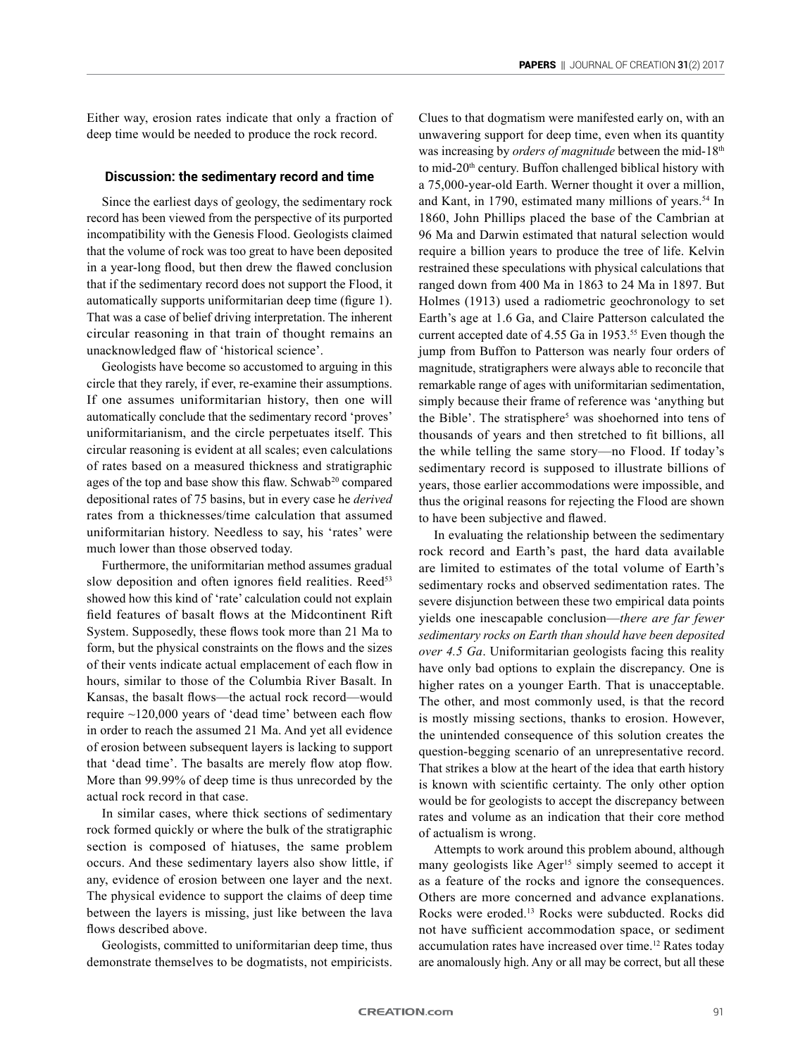Either way, erosion rates indicate that only a fraction of deep time would be needed to produce the rock record.

#### **Discussion: the sedimentary record and time**

Since the earliest days of geology, the sedimentary rock record has been viewed from the perspective of its purported incompatibility with the Genesis Flood. Geologists claimed that the volume of rock was too great to have been deposited in a year-long flood, but then drew the flawed conclusion that if the sedimentary record does not support the Flood, it automatically supports uniformitarian deep time (figure 1). That was a case of belief driving interpretation. The inherent circular reasoning in that train of thought remains an unacknowledged flaw of 'historical science'.

Geologists have become so accustomed to arguing in this circle that they rarely, if ever, re-examine their assumptions. If one assumes uniformitarian history, then one will automatically conclude that the sedimentary record 'proves' uniformitarianism, and the circle perpetuates itself. This circular reasoning is evident at all scales; even calculations of rates based on a measured thickness and stratigraphic ages of the top and base show this flaw. Schwab<sup>20</sup> compared depositional rates of 75 basins, but in every case he *derived* rates from a thicknesses/time calculation that assumed uniformitarian history. Needless to say, his 'rates' were much lower than those observed today.

Furthermore, the uniformitarian method assumes gradual slow deposition and often ignores field realities. Reed<sup>53</sup> showed how this kind of 'rate' calculation could not explain field features of basalt flows at the Midcontinent Rift System. Supposedly, these flows took more than 21 Ma to form, but the physical constraints on the flows and the sizes of their vents indicate actual emplacement of each flow in hours, similar to those of the Columbia River Basalt. In Kansas, the basalt flows—the actual rock record—would require ~120,000 years of 'dead time' between each flow in order to reach the assumed 21 Ma. And yet all evidence of erosion between subsequent layers is lacking to support that 'dead time'. The basalts are merely flow atop flow. More than 99.99% of deep time is thus unrecorded by the actual rock record in that case.

In similar cases, where thick sections of sedimentary rock formed quickly or where the bulk of the stratigraphic section is composed of hiatuses, the same problem occurs. And these sedimentary layers also show little, if any, evidence of erosion between one layer and the next. The physical evidence to support the claims of deep time between the layers is missing, just like between the lava flows described above.

Geologists, committed to uniformitarian deep time, thus demonstrate themselves to be dogmatists, not empiricists.

Clues to that dogmatism were manifested early on, with an unwavering support for deep time, even when its quantity was increasing by *orders of magnitude* between the mid-18<sup>th</sup> to mid-20<sup>th</sup> century. Buffon challenged biblical history with a 75,000-year-old Earth. Werner thought it over a million, and Kant, in 1790, estimated many millions of years.<sup>54</sup> In 1860, John Phillips placed the base of the Cambrian at 96 Ma and Darwin estimated that natural selection would require a billion years to produce the tree of life. Kelvin restrained these speculations with physical calculations that ranged down from 400 Ma in 1863 to 24 Ma in 1897. But Holmes (1913) used a radiometric geochronology to set Earth's age at 1.6 Ga, and Claire Patterson calculated the current accepted date of 4.55 Ga in 1953.<sup>55</sup> Even though the jump from Buffon to Patterson was nearly four orders of magnitude, stratigraphers were always able to reconcile that remarkable range of ages with uniformitarian sedimentation, simply because their frame of reference was 'anything but the Bible'. The stratisphere<sup>5</sup> was shoehorned into tens of thousands of years and then stretched to fit billions, all the while telling the same story—no Flood. If today's sedimentary record is supposed to illustrate billions of years, those earlier accommodations were impossible, and thus the original reasons for rejecting the Flood are shown to have been subjective and flawed.

In evaluating the relationship between the sedimentary rock record and Earth's past, the hard data available are limited to estimates of the total volume of Earth's sedimentary rocks and observed sedimentation rates. The severe disjunction between these two empirical data points yields one inescapable conclusion—*there are far fewer sedimentary rocks on Earth than should have been deposited over 4.5 Ga*. Uniformitarian geologists facing this reality have only bad options to explain the discrepancy. One is higher rates on a younger Earth. That is unacceptable. The other, and most commonly used, is that the record is mostly missing sections, thanks to erosion. However, the unintended consequence of this solution creates the question-begging scenario of an unrepresentative record. That strikes a blow at the heart of the idea that earth history is known with scientific certainty. The only other option would be for geologists to accept the discrepancy between rates and volume as an indication that their core method of actualism is wrong.

Attempts to work around this problem abound, although many geologists like  $Ager<sup>15</sup>$  simply seemed to accept it as a feature of the rocks and ignore the consequences. Others are more concerned and advance explanations. Rocks were eroded.13 Rocks were subducted. Rocks did not have sufficient accommodation space, or sediment accumulation rates have increased over time.12 Rates today are anomalously high. Any or all may be correct, but all these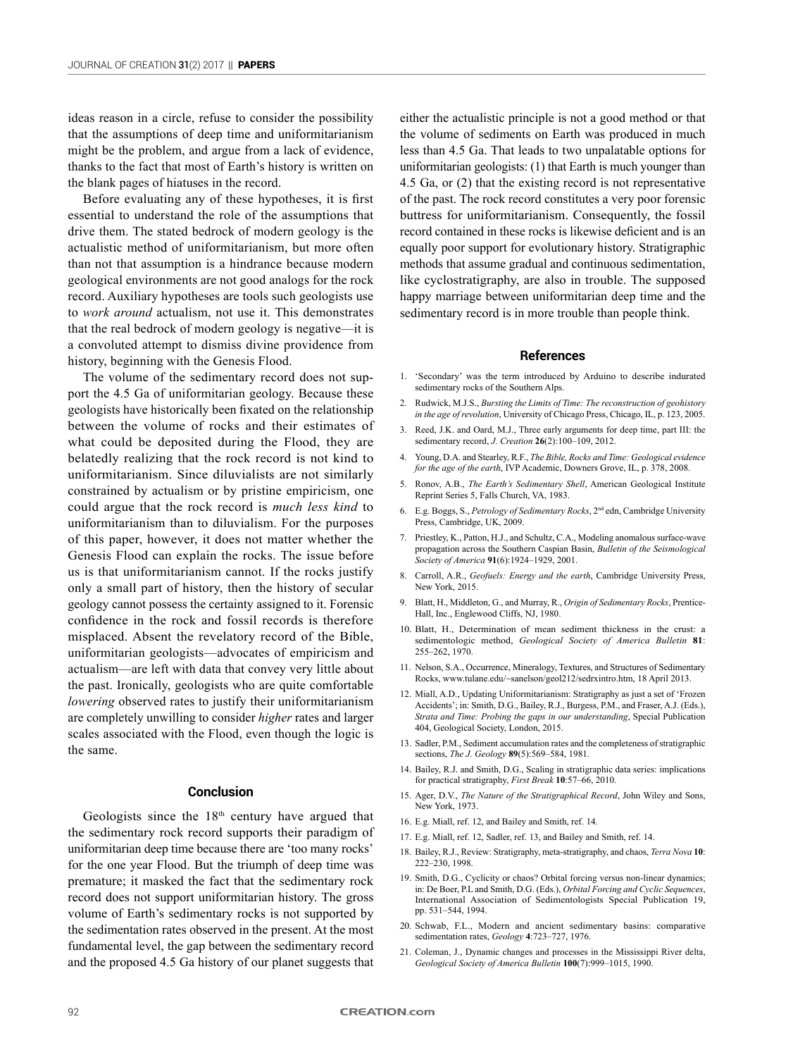ideas reason in a circle, refuse to consider the possibility that the assumptions of deep time and uniformitarianism might be the problem, and argue from a lack of evidence, thanks to the fact that most of Earth's history is written on the blank pages of hiatuses in the record.

Before evaluating any of these hypotheses, it is first essential to understand the role of the assumptions that drive them. The stated bedrock of modern geology is the actualistic method of uniformitarianism, but more often than not that assumption is a hindrance because modern geological environments are not good analogs for the rock record. Auxiliary hypotheses are tools such geologists use to *work around* actualism, not use it. This demonstrates that the real bedrock of modern geology is negative—it is a convoluted attempt to dismiss divine providence from history, beginning with the Genesis Flood.

The volume of the sedimentary record does not support the 4.5 Ga of uniformitarian geology. Because these geologists have historically been fixated on the relationship between the volume of rocks and their estimates of what could be deposited during the Flood, they are belatedly realizing that the rock record is not kind to uniformitarianism. Since diluvialists are not similarly constrained by actualism or by pristine empiricism, one could argue that the rock record is *much less kind* to uniformitarianism than to diluvialism. For the purposes of this paper, however, it does not matter whether the Genesis Flood can explain the rocks. The issue before us is that uniformitarianism cannot. If the rocks justify only a small part of history, then the history of secular geology cannot possess the certainty assigned to it. Forensic confidence in the rock and fossil records is therefore misplaced. Absent the revelatory record of the Bible, uniformitarian geologists—advocates of empiricism and actualism—are left with data that convey very little about the past. Ironically, geologists who are quite comfortable *lowering* observed rates to justify their uniformitarianism are completely unwilling to consider *higher* rates and larger scales associated with the Flood, even though the logic is the same.

#### **Conclusion**

Geologists since the 18th century have argued that the sedimentary rock record supports their paradigm of uniformitarian deep time because there are 'too many rocks' for the one year Flood. But the triumph of deep time was premature; it masked the fact that the sedimentary rock record does not support uniformitarian history. The gross volume of Earth's sedimentary rocks is not supported by the sedimentation rates observed in the present. At the most fundamental level, the gap between the sedimentary record and the proposed 4.5 Ga history of our planet suggests that either the actualistic principle is not a good method or that the volume of sediments on Earth was produced in much less than 4.5 Ga. That leads to two unpalatable options for uniformitarian geologists: (1) that Earth is much younger than 4.5 Ga, or (2) that the existing record is not representative of the past. The rock record constitutes a very poor forensic buttress for uniformitarianism. Consequently, the fossil record contained in these rocks is likewise deficient and is an equally poor support for evolutionary history. Stratigraphic methods that assume gradual and continuous sedimentation, like cyclostratigraphy, are also in trouble. The supposed happy marriage between uniformitarian deep time and the sedimentary record is in more trouble than people think.

#### **References**

- 1. 'Secondary' was the term introduced by Arduino to describe indurated sedimentary rocks of the Southern Alps.
- 2. Rudwick, M.J.S., *Bursting the Limits of Time: The reconstruction of geohistory in the age of revolution*, University of Chicago Press, Chicago, IL, p. 123, 2005.
- Reed, J.K. and Oard, M.J., Three early arguments for deep time, part III: the sedimentary record, *J. Creation* **26**(2):100–109, 2012.
- 4. Young, D.A. and Stearley, R.F., *The Bible, Rocks and Time: Geological evidence for the age of the earth*, IVP Academic, Downers Grove, IL, p. 378, 2008.
- 5. Ronov, A.B., *The Earth's Sedimentary Shell*, American Geological Institute Reprint Series 5, Falls Church, VA, 1983.
- 6. E.g. Boggs, S., *Petrology of Sedimentary Rocks*, 2nd edn, Cambridge University Press, Cambridge, UK, 2009.
- 7. Priestley, K., Patton, H.J., and Schultz, C.A., Modeling anomalous surface-wave propagation across the Southern Caspian Basin, *Bulletin of the Seismological Society of America* **91**(6):1924–1929, 2001.
- 8. Carroll, A.R., *Geofuels: Energy and the earth*, Cambridge University Press, New York, 2015.
- 9. Blatt, H., Middleton, G., and Murray, R., *Origin of Sedimentary Rocks*, Prentice-Hall, Inc., Englewood Cliffs, NJ, 1980.
- 10. Blatt, H., Determination of mean sediment thickness in the crust: a sedimentologic method, *Geological Society of America Bulletin* **81**: 255–262, 1970.
- 11. Nelson, S.A., Occurrence, Mineralogy, Textures, and Structures of Sedimentary Rocks, www.tulane.edu/~sanelson/geol212/sedrxintro.htm, 18 April 2013.
- 12. Miall, A.D., Updating Uniformitarianism: Stratigraphy as just a set of 'Frozen Accidents'; in: Smith, D.G., Bailey, R.J., Burgess, P.M., and Fraser, A.J. (Eds.), *Strata and Time: Probing the gaps in our understanding*, Special Publication 404, Geological Society, London, 2015.
- 13. Sadler, P.M., Sediment accumulation rates and the completeness of stratigraphic sections, *The J. Geology* **89**(5):569–584, 1981.
- 14. Bailey, R.J. and Smith, D.G., Scaling in stratigraphic data series: implications for practical stratigraphy, *First Break* **10**:57–66, 2010.
- 15. Ager, D.V., *The Nature of the Stratigraphical Record*, John Wiley and Sons, New York, 1973.
- 16. E.g. Miall, ref. 12, and Bailey and Smith, ref. 14.
- 17. E.g. Miall, ref. 12, Sadler, ref. 13, and Bailey and Smith, ref. 14.
- 18. Bailey, R.J., Review: Stratigraphy, meta-stratigraphy, and chaos, *Terra Nova* **10**: 222–230, 1998.
- 19. Smith, D.G., Cyclicity or chaos? Orbital forcing versus non-linear dynamics; in: De Boer, P.L and Smith, D.G. (Eds.), *Orbital Forcing and Cyclic Sequences*, International Association of Sedimentologists Special Publication 19, pp. 531–544, 1994.
- 20. Schwab, F.L., Modern and ancient sedimentary basins: comparative sedimentation rates, *Geology* **4**:723–727, 1976.
- 21. Coleman, J., Dynamic changes and processes in the Mississippi River delta, *Geological Society of America Bulletin* **100**(7):999–1015, 1990.